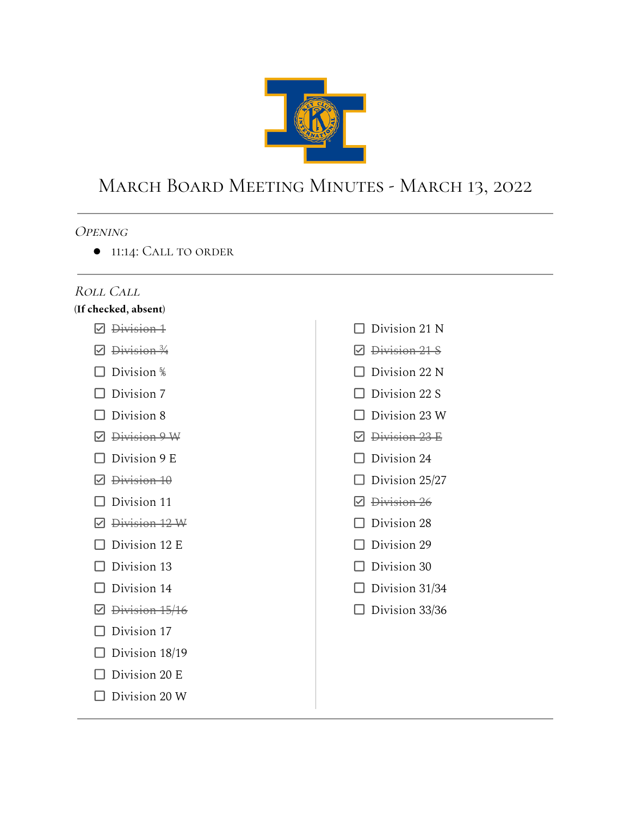

# March Board Meeting Minutes - March 13, 2022

#### **OPENING**

● 11:14: Call to order

#### Roll Call

#### **(If checked, absent)**

- $\n *Division-1*\n$
- $\boxdot$  Division  $\frac{3}{4}$
- $\Box$  Division  $\frac{5}{6}$
- $\Box$  Division 7
- $\Box$  Division 8
- Division 9 W
- $\Box$  Division 9 E
- $\n *Division 10*\n$
- $\Box$  Division 11
- Division 12 W
- $\Box$  Division 12 E
- $\Box$  Division 13
- $\Box$  Division 14
- $\n *Division* 15/16\n$
- $\Box$  Division 17
- $\Box$  Division 18/19
- $\Box$  Division 20 E
- $\square$  Division 20 W

 $\Box$  Division 21 N **Ø** <del>Division 21 S</del>  $\Box$  Division 22 N  $\Box$  Division 22 S  $\Box$  Division 23 W **☑** <del>Division 23</del> E  $\Box$  Division 24  $\Box$  Division 25/27 **Ø** <del>Division 26</del>  $\Box$  Division 28  $\Box$  Division 29  $\Box$  Division 30  $\Box$  Division 31/34  $\Box$  Division 33/36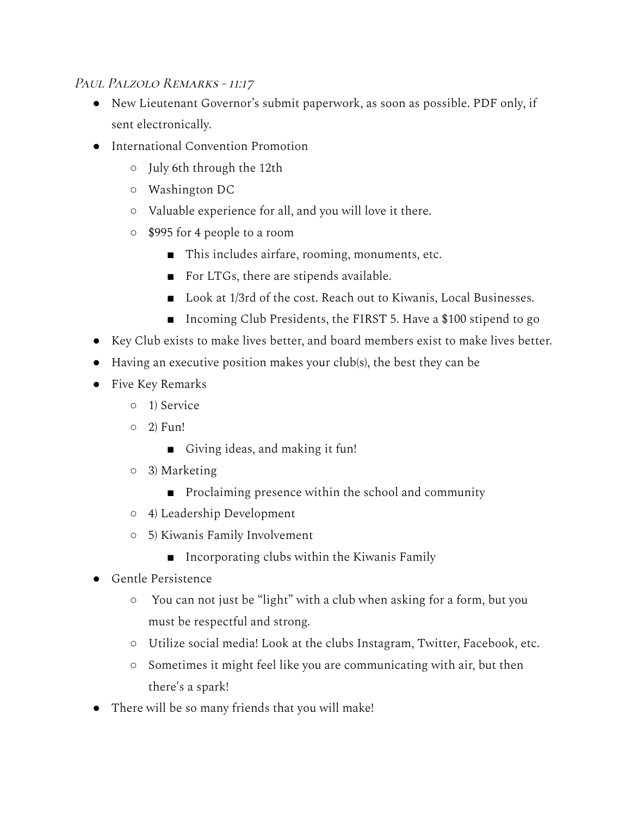# PAUL PALZOLO REMARKS - 11:17

- New Lieutenant Governor's submit paperwork, as soon as possible. PDF only, if sent electronically.
- International Convention Promotion
	- July 6th through the 12th
	- Washington DC
	- Valuable experience for all, and you will love it there.
	- \$995 for 4 people to a room
		- This includes airfare, rooming, monuments, etc.
		- For LTGs, there are stipends available.
		- Look at 1/3rd of the cost. Reach out to Kiwanis, Local Businesses.
		- Incoming Club Presidents, the FIRST 5. Have a \$100 stipend to go
- Key Club exists to make lives better, and board members exist to make lives better.
- Having an executive position makes your club(s), the best they can be
- Five Key Remarks
	- 1) Service
	- $\circ$  2) Fun!
		- Giving ideas, and making it fun!
	- 3) Marketing
		- Proclaiming presence within the school and community
	- 4) Leadership Development
	- 5) Kiwanis Family Involvement
		- Incorporating clubs within the Kiwanis Family
- Gentle Persistence
	- You can not just be "light" with a club when asking for a form, but you must be respectful and strong.
	- Utilize social media! Look at the clubs Instagram, Twitter, Facebook, etc.
	- Sometimes it might feel like you are communicating with air, but then there's a spark!
- There will be so many friends that you will make!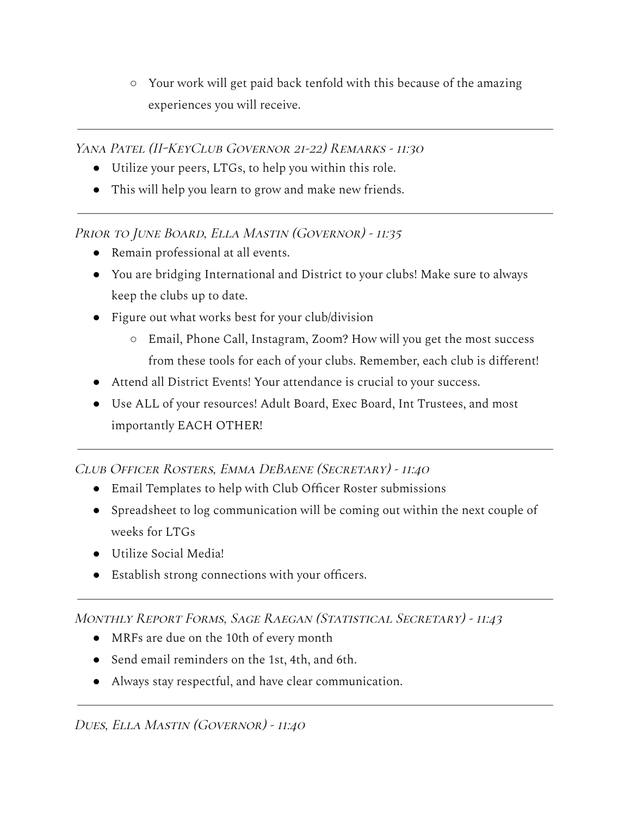○ Your work will get paid back tenfold with this because of the amazing experiences you will receive.

Yana Patel (II-KeyClub Governor 21-22) Remarks - 11:30

- Utilize your peers, LTGs, to help you within this role.
- This will help you learn to grow and make new friends.

PRIOR TO JUNE BOARD, ELLA MASTIN (GOVERNOR) - 11:35

- Remain professional at all events.
- You are bridging International and District to your clubs! Make sure to always keep the clubs up to date.
- Figure out what works best for your club/division
	- Email, Phone Call, Instagram, Zoom? How will you get the most success from these tools for each of your clubs. Remember, each club is different!
- Attend all District Events! Your attendance is crucial to your success.
- Use ALL of your resources! Adult Board, Exec Board, Int Trustees, and most importantly EACH OTHER!

# Club Officer Rosters, Emma DeBaene (Secretary) - 11:40

- Email Templates to help with Club Officer Roster submissions
- Spreadsheet to log communication will be coming out within the next couple of weeks for LTGs
- Utilize Social Media!
- Establish strong connections with your officers.

# Monthly Report Forms, Sage Raegan (Statistical Secretary) - 11:43

- MRFs are due on the 10th of every month
- Send email reminders on the 1st, 4th, and 6th.
- Always stay respectful, and have clear communication.

# Dues, Ella Mastin (Governor) - 11:40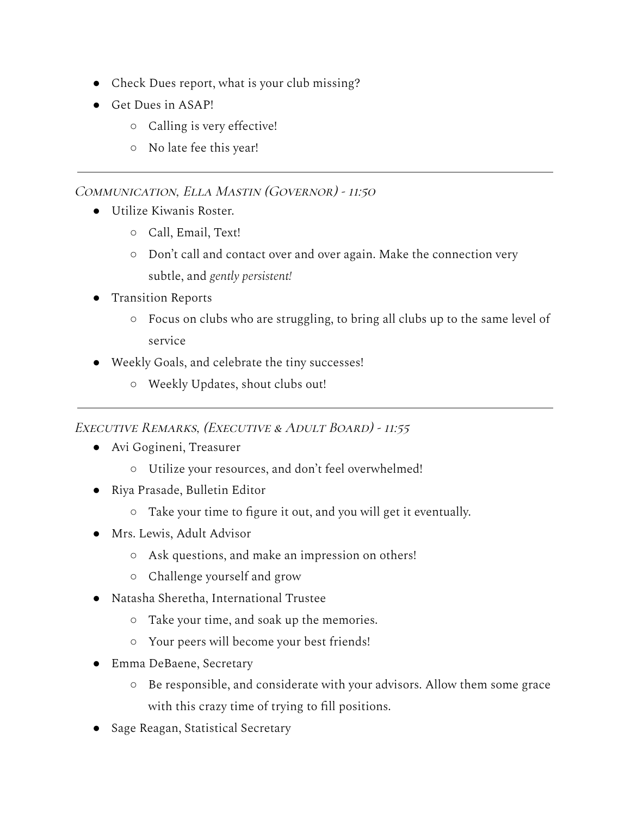- Check Dues report, what is your club missing?
- Get Dues in ASAP!
	- Calling is very effective!
	- No late fee this year!

# Communication, Ella Mastin (Governor) - 11:50

- Utilize Kiwanis Roster.
	- Call, Email, Text!
	- Don't call and contact over and over again. Make the connection very subtle, and *gently persistent!*
- Transition Reports
	- Focus on clubs who are struggling, to bring all clubs up to the same level of service
- Weekly Goals, and celebrate the tiny successes!
	- Weekly Updates, shout clubs out!

# Executive Remarks, (Executive & Adult Board) - 11:55

- Avi Gogineni, Treasurer
	- Utilize your resources, and don't feel overwhelmed!
- Riya Prasade, Bulletin Editor
	- Take your time to figure it out, and you will get it eventually.
- Mrs. Lewis, Adult Advisor
	- Ask questions, and make an impression on others!
	- Challenge yourself and grow
- Natasha Sheretha, International Trustee
	- Take your time, and soak up the memories.
	- Your peers will become your best friends!
- Emma DeBaene, Secretary
	- Be responsible, and considerate with your advisors. Allow them some grace with this crazy time of trying to fill positions.
- Sage Reagan, Statistical Secretary